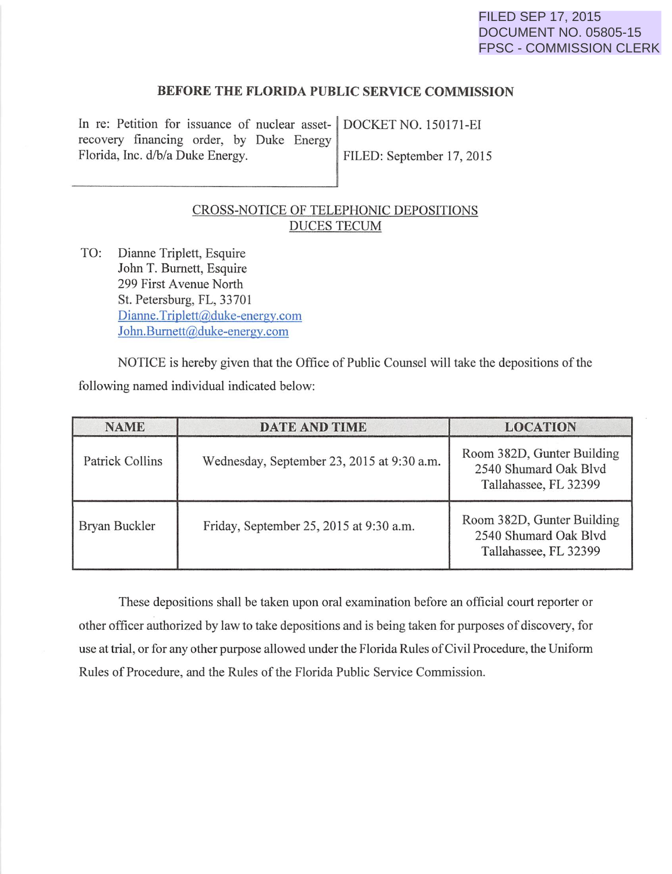## FILED SEP 17, 2015 DOCUMENT NO. 05805-15 FPSC - COMMISSION CLERK

## **BEFORE THE FLORIDA PUBLIC SERVICE COMMISSION**

In re: Petition for issuance of nuclear asset- DOCKET NO. 150171-EI recovery financing order, by Duke Energy Florida, Inc. d/b/a Duke Energy. FILED: September 17, 2015

## CROSS-NOTICE OF TELEPHONIC DEPOSITIONS DUCES TECUM

TO: Dianne Triplett, Esquire John T. Burnett, Esquire 299 First Avenue North St. Petersburg, FL, 33701 Dianne. Triplett@duke-energy.com John.Bumett@duke-energy.com

NOTICE is hereby given that the Office of Public Counsel will take the depositions of the following named individual indicated below:

| <b>NAME</b>     | <b>DATE AND TIME</b>                       | <b>LOCATION</b>                                                              |
|-----------------|--------------------------------------------|------------------------------------------------------------------------------|
| Patrick Collins | Wednesday, September 23, 2015 at 9:30 a.m. | Room 382D, Gunter Building<br>2540 Shumard Oak Blyd<br>Tallahassee, FL 32399 |
| Bryan Buckler   | Friday, September 25, 2015 at 9:30 a.m.    | Room 382D, Gunter Building<br>2540 Shumard Oak Blvd<br>Tallahassee, FL 32399 |

These depositions shall be taken upon oral examination before an official court reporter or other officer authorized by law to take depositions and is being taken for purposes of discovery, for use at trial, or for any other purpose allowed under the Florida Rules of Civil Procedure, the Uniform Rules of Procedure, and the Rules of the Florida Public Service Commission.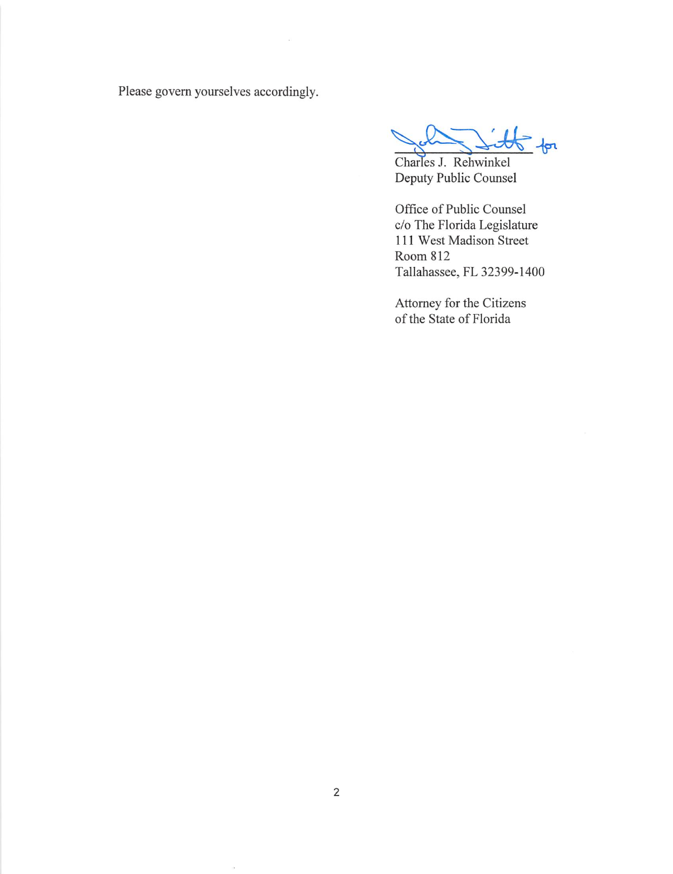Please govern yourselves accordingly.

 $\widehat{\mathcal{A}}_0$ 

Charles J. Rehwinkel

Deputy Public Counsel

Office of Public Counsel c/o The Florida Legislature 111 West Madison Street Room 812 Tallahassee, FL 32399-1400

Attorney for the Citizens of the State of Florida